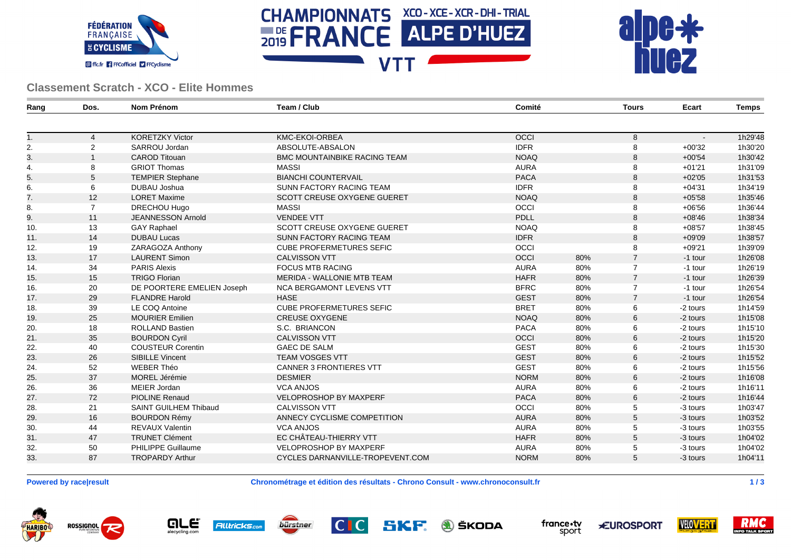





## **Classement Scratch - XCO - Elite Hommes**

| Rang | Dos.           | Nom Prénom                   | Team / Club                         | Comité      |     | <b>Tours</b>   | Ecart    | Temps   |
|------|----------------|------------------------------|-------------------------------------|-------------|-----|----------------|----------|---------|
|      |                |                              |                                     |             |     |                |          |         |
| 1.   | $\overline{4}$ | <b>KORETZKY Victor</b>       | KMC-EKOI-ORBEA                      | OCCI        |     | 8              |          | 1h29'48 |
| 2.   | $\overline{2}$ | SARROU Jordan                | ABSOLUTE-ABSALON                    | <b>IDFR</b> |     | 8              | $+00'32$ | 1h30'20 |
| 3.   |                | <b>CAROD Titouan</b>         | <b>BMC MOUNTAINBIKE RACING TEAM</b> | <b>NOAQ</b> |     | 8              | $+00'54$ | 1h30'42 |
| 4.   | 8              | <b>GRIOT Thomas</b>          | <b>MASSI</b>                        | <b>AURA</b> |     | 8              | $+01'21$ | 1h31'09 |
| 5.   | 5              | <b>TEMPIER Stephane</b>      | <b>BIANCHI COUNTERVAIL</b>          | <b>PACA</b> |     | 8              | $+02'05$ | 1h31'53 |
| 6.   | 6              | DUBAU Joshua                 | SUNN FACTORY RACING TEAM            | <b>IDFR</b> |     | 8              | $+04'31$ | 1h34'19 |
| 7.   | 12             | <b>LORET Maxime</b>          | SCOTT CREUSE OXYGENE GUERET         | <b>NOAQ</b> |     | 8              | $+05'58$ | 1h35'46 |
| 8.   | $\overline{7}$ | DRECHOU Hugo                 | <b>MASSI</b>                        | <b>OCCI</b> |     | 8              | $+06'56$ | 1h36'44 |
| 9.   | 11             | <b>JEANNESSON Arnold</b>     | <b>VENDEE VTT</b>                   | PDLL        |     | 8              | $+08'46$ | 1h38'34 |
| 10.  | 13             | <b>GAY Raphael</b>           | <b>SCOTT CREUSE OXYGENE GUERET</b>  | <b>NOAQ</b> |     | 8              | $+08'57$ | 1h38'45 |
| 11.  | 14             | <b>DUBAU Lucas</b>           | SUNN FACTORY RACING TEAM            | <b>IDFR</b> |     | 8              | $+09'09$ | 1h38'57 |
| 12.  | 19             | ZARAGOZA Anthony             | <b>CUBE PROFERMETURES SEFIC</b>     | OCCI        |     | 8              | $+09'21$ | 1h39'09 |
| 13.  | 17             | <b>LAURENT Simon</b>         | <b>CALVISSON VTT</b>                | OCCI        | 80% | $\overline{7}$ | -1 tour  | 1h26'08 |
| 14.  | 34             | <b>PARIS Alexis</b>          | <b>FOCUS MTB RACING</b>             | <b>AURA</b> | 80% | $\overline{7}$ | -1 tour  | 1h26'19 |
| 15.  | 15             | <b>TRIGO Florian</b>         | <b>MERIDA - WALLONIE MTB TEAM</b>   | <b>HAFR</b> | 80% | $\overline{7}$ | -1 tour  | 1h26'39 |
| 16.  | 20             | DE POORTERE EMELIEN Joseph   | <b>NCA BERGAMONT LEVENS VTT</b>     | <b>BFRC</b> | 80% | $\overline{7}$ | -1 tour  | 1h26'54 |
| 17.  | 29             | <b>FLANDRE Harold</b>        | <b>HASE</b>                         | <b>GEST</b> | 80% | $\overline{7}$ | -1 tour  | 1h26'54 |
| 18.  | 39             | LE COQ Antoine               | <b>CUBE PROFERMETURES SEFIC</b>     | <b>BRET</b> | 80% | 6              | -2 tours | 1h14'59 |
| 19.  | 25             | <b>MOURIER Emilien</b>       | <b>CREUSE OXYGENE</b>               | <b>NOAQ</b> | 80% | 6              | -2 tours | 1h15'08 |
| 20.  | 18             | <b>ROLLAND Bastien</b>       | S.C. BRIANCON                       | <b>PACA</b> | 80% | 6              | -2 tours | 1h15'10 |
| 21.  | 35             | <b>BOURDON Cyril</b>         | <b>CALVISSON VTT</b>                | OCCI        | 80% | 6              | -2 tours | 1h15'20 |
| 22.  | 40             | <b>COUSTEUR Corentin</b>     | <b>GAEC DE SALM</b>                 | <b>GEST</b> | 80% | 6              | -2 tours | 1h15'30 |
| 23.  | 26             | <b>SIBILLE Vincent</b>       | <b>TEAM VOSGES VTT</b>              | <b>GEST</b> | 80% | 6              | -2 tours | 1h15'52 |
| 24.  | 52             | <b>WEBER Théo</b>            | <b>CANNER 3 FRONTIERES VTT</b>      | <b>GEST</b> | 80% | 6              | -2 tours | 1h15'56 |
| 25.  | 37             | MOREL Jérémie                | <b>DESMIER</b>                      | <b>NORM</b> | 80% | 6              | -2 tours | 1h16'08 |
| 26.  | 36             | MEIER Jordan                 | <b>VCA ANJOS</b>                    | <b>AURA</b> | 80% | 6              | -2 tours | 1h16'11 |
| 27.  | 72             | <b>PIOLINE Renaud</b>        | <b>VELOPROSHOP BY MAXPERF</b>       | <b>PACA</b> | 80% | 6              | -2 tours | 1h16'44 |
| 28.  | 21             | <b>SAINT GUILHEM Thibaud</b> | <b>CALVISSON VTT</b>                | OCCI        | 80% | 5              | -3 tours | 1h03'47 |
| 29.  | 16             | <b>BOURDON Rémy</b>          | ANNECY CYCLISME COMPETITION         | <b>AURA</b> | 80% | 5              | -3 tours | 1h03'52 |
| 30.  | 44             | <b>REVAUX Valentin</b>       | <b>VCA ANJOS</b>                    | <b>AURA</b> | 80% | 5              | -3 tours | 1h03'55 |
| 31.  | 47             | <b>TRUNET Clément</b>        | EC CHÂTEAU-THIERRY VTT              | <b>HAFR</b> | 80% | 5              | -3 tours | 1h04'02 |
| 32.  | 50             | PHILIPPE Guillaume           | <b>VELOPROSHOP BY MAXPERF</b>       | <b>AURA</b> | 80% | 5              | -3 tours | 1h04'02 |
| 33.  | 87             | <b>TROPARDY Arthur</b>       | CYCLES DARNANVILLE-TROPEVENT.COM    | <b>NORM</b> | 80% | 5              | -3 tours | 1h04'11 |
|      |                |                              |                                     |             |     |                |          |         |

**Powered by race|result Chronométrage et édition des résultats - Chrono Consult - www.chronoconsult.fr 1 / 3**







SKF **A** ŠKODA



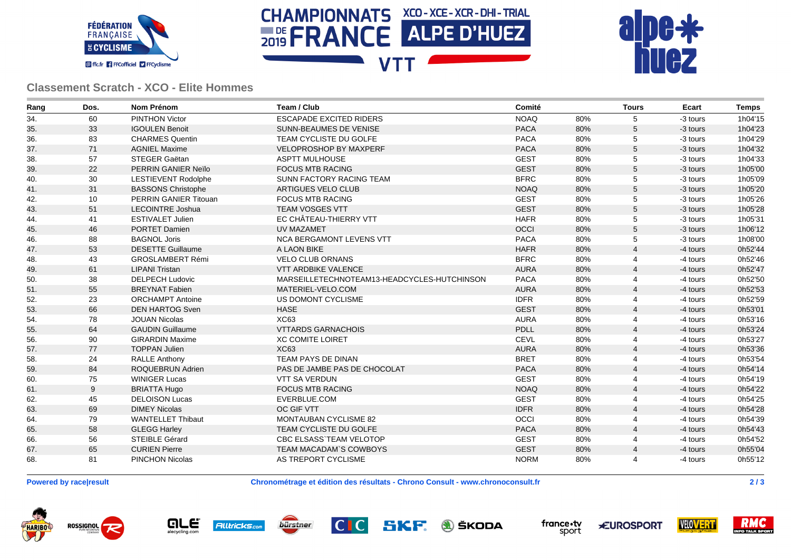





## **Classement Scratch - XCO - Elite Hommes**

| Rang | Dos. | Nom Prénom                 | Team / Club                                 | Comité      |     | <b>Tours</b>   | Ecart    | <b>Temps</b> |
|------|------|----------------------------|---------------------------------------------|-------------|-----|----------------|----------|--------------|
| 34.  | 60   | <b>PINTHON Victor</b>      | <b>ESCAPADE EXCITED RIDERS</b>              | <b>NOAQ</b> | 80% | 5              | -3 tours | 1h04'15      |
| 35.  | 33   | <b>IGOULEN Benoit</b>      | <b>SUNN-BEAUMES DE VENISE</b>               | <b>PACA</b> | 80% | 5              | -3 tours | 1h04'23      |
| 36.  | 83   | <b>CHARMES Quentin</b>     | TEAM CYCLISTE DU GOLFE                      | <b>PACA</b> | 80% | 5              | -3 tours | 1h04'29      |
| 37.  | 71   | <b>AGNIEL Maxime</b>       | <b>VELOPROSHOP BY MAXPERF</b>               | <b>PACA</b> | 80% | 5              | -3 tours | 1h04'32      |
| 38.  | 57   | <b>STEGER Gaëtan</b>       | <b>ASPTT MULHOUSE</b>                       | <b>GEST</b> | 80% | 5              | -3 tours | 1h04'33      |
| 39.  | 22   | PERRIN GANIER Neïlo        | <b>FOCUS MTB RACING</b>                     | <b>GEST</b> | 80% | $\mathbf 5$    | -3 tours | 1h05'00      |
| 40.  | 30   | <b>LESTIEVENT Rodolphe</b> | SUNN FACTORY RACING TEAM                    | <b>BFRC</b> | 80% | 5              | -3 tours | 1h05'09      |
| 41.  | 31   | <b>BASSONS Christophe</b>  | ARTIGUES VELO CLUB                          | <b>NOAQ</b> | 80% | $\mathbf 5$    | -3 tours | 1h05'20      |
| 42.  | 10   | PERRIN GANIER Titouan      | <b>FOCUS MTB RACING</b>                     | <b>GEST</b> | 80% | 5              | -3 tours | 1h05'26      |
| 43.  | 51   | <b>LECOINTRE Joshua</b>    | <b>TEAM VOSGES VTT</b>                      | <b>GEST</b> | 80% | 5              | -3 tours | 1h05'28      |
| 44.  | 41   | <b>ESTIVALET Julien</b>    | EC CHÂTEAU-THIERRY VTT                      | <b>HAFR</b> | 80% | 5              | -3 tours | 1h05'31      |
| 45.  | 46   | PORTET Damien              | <b>UV MAZAMET</b>                           | OCCI        | 80% | 5              | -3 tours | 1h06'12      |
| 46.  | 88   | <b>BAGNOL Joris</b>        | <b>NCA BERGAMONT LEVENS VTT</b>             | <b>PACA</b> | 80% | 5              | -3 tours | 1h08'00      |
| 47.  | 53   | <b>DESETTE Guillaume</b>   | A LAON BIKE                                 | <b>HAFR</b> | 80% | $\overline{4}$ | -4 tours | 0h52'44      |
| 48.  | 43   | <b>GROSLAMBERT Rémi</b>    | <b>VELO CLUB ORNANS</b>                     | <b>BFRC</b> | 80% | 4              | -4 tours | 0h52'46      |
| 49.  | 61   | <b>LIPANI Tristan</b>      | <b>VTT ARDBIKE VALENCE</b>                  | <b>AURA</b> | 80% | $\overline{4}$ | -4 tours | 0h52'47      |
| 50.  | 38   | <b>DELPECH Ludovic</b>     | MARSEILLETECHNOTEAM13-HEADCYCLES-HUTCHINSON | <b>PACA</b> | 80% | 4              | -4 tours | 0h52'50      |
| 51.  | 55   | <b>BREYNAT Fabien</b>      | MATERIEL-VELO.COM                           | <b>AURA</b> | 80% | $\overline{4}$ | -4 tours | 0h52'53      |
| 52.  | 23   | <b>ORCHAMPT Antoine</b>    | US DOMONT CYCLISME                          | <b>IDFR</b> | 80% | 4              | -4 tours | 0h52'59      |
| 53.  | 66   | <b>DEN HARTOG Sven</b>     | <b>HASE</b>                                 | <b>GEST</b> | 80% | $\overline{4}$ | -4 tours | 0h53'01      |
| 54.  | 78   | <b>JOUAN Nicolas</b>       | XC63                                        | <b>AURA</b> | 80% | 4              | -4 tours | 0h53'16      |
| 55.  | 64   | <b>GAUDIN Guillaume</b>    | <b>VTTARDS GARNACHOIS</b>                   | PDLL        | 80% | $\overline{4}$ | -4 tours | 0h53'24      |
| 56.  | 90   | <b>GIRARDIN Maxime</b>     | <b>XC COMITE LOIRET</b>                     | <b>CEVL</b> | 80% | $\overline{4}$ | -4 tours | 0h53'27      |
| 57.  | 77   | <b>TOPPAN Julien</b>       | <b>XC63</b>                                 | <b>AURA</b> | 80% | $\overline{4}$ | -4 tours | 0h53'36      |
| 58.  | 24   | <b>RALLE Anthony</b>       | <b>TEAM PAYS DE DINAN</b>                   | <b>BRET</b> | 80% | $\overline{4}$ | -4 tours | 0h53'54      |
| 59.  | 84   | ROQUEBRUN Adrien           | PAS DE JAMBE PAS DE CHOCOLAT                | <b>PACA</b> | 80% | $\overline{4}$ | -4 tours | 0h54'14      |
| 60.  | 75   | <b>WINIGER Lucas</b>       | <b>VTT SA VERDUN</b>                        | <b>GEST</b> | 80% | 4              | -4 tours | 0h54'19      |
| 61.  | 9    | <b>BRIATTA Hugo</b>        | <b>FOCUS MTB RACING</b>                     | <b>NOAQ</b> | 80% | $\overline{4}$ | -4 tours | 0h54'22      |
| 62.  | 45   | <b>DELOISON Lucas</b>      | EVERBLUE.COM                                | <b>GEST</b> | 80% | 4              | -4 tours | 0h54'25      |
| 63.  | 69   | <b>DIMEY Nicolas</b>       | OC GIF VTT                                  | <b>IDFR</b> | 80% | $\overline{4}$ | -4 tours | 0h54'28      |
| 64.  | 79   | <b>WANTELLET Thibaut</b>   | MONTAUBAN CYCLISME 82                       | OCCI        | 80% | 4              | -4 tours | 0h54'39      |
| 65.  | 58   | <b>GLEGG Harley</b>        | TEAM CYCLISTE DU GOLFE                      | <b>PACA</b> | 80% | $\overline{4}$ | -4 tours | 0h54'43      |
| 66.  | 56   | <b>STEIBLE Gérard</b>      | <b>CBC ELSASS TEAM VELOTOP</b>              | <b>GEST</b> | 80% | 4              | -4 tours | 0h54'52      |
| 67.  | 65   | <b>CURIEN Pierre</b>       | TEAM MACADAM'S COWBOYS                      | <b>GEST</b> | 80% | $\overline{4}$ | -4 tours | 0h55'04      |
| 68.  | 81   | PINCHON Nicolas            | AS TREPORT CYCLISME                         | <b>NORM</b> | 80% | 4              | -4 tours | 0h55'12      |

**Powered by race|result Chronométrage et édition des résultats - Chrono Consult - www.chronoconsult.fr 2 / 3**







SKF **A** ŠKODA